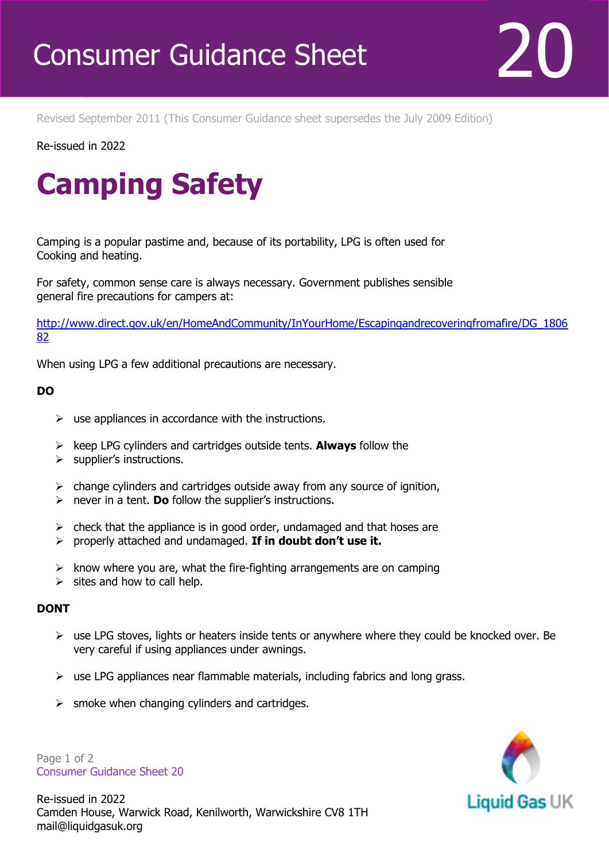

Revised September 2011 (This Consumer Guidance sheet supersedes the July 2009 Edition)

Re-issued in 2022

Revised April 2016

## **Camping Safety**

Camping is a popular pastime and, because of its portability, LPG is often used for Cooking and heating.

For safety, common sense care is always necessary. Government publishes sensible general fire precautions for campers at:

[http://www.direct.gov.uk/en/HomeAndCommunity/InYourHome/Escapingandrecoveringfromafire/DG\\_1806](http://www.direct.gov.uk/en/HomeAndCommunity/InYourHome/Escapingandrecoveringfromafire/DG_180682) [82](http://www.direct.gov.uk/en/HomeAndCommunity/InYourHome/Escapingandrecoveringfromafire/DG_180682)

When using LPG a few additional precautions are necessary.

## **DO**

- $\triangleright$  use appliances in accordance with the instructions.
- ➢ keep LPG cylinders and cartridges outside tents. **Always** follow the
- ➢ supplier's instructions.
- $\triangleright$  change cylinders and cartridges outside away from any source of ignition,
- ➢ never in a tent. **Do** follow the supplier's instructions.
- $\triangleright$  check that the appliance is in good order, undamaged and that hoses are
- ➢ properly attached and undamaged. **If in doubt don't use it.**
- $\triangleright$  know where you are, what the fire-fighting arrangements are on camping
- $\triangleright$  sites and how to call help.

## **DONT**

- $\triangleright$  use LPG stoves, lights or heaters inside tents or anywhere where they could be knocked over. Be very careful if using appliances under awnings.
- $\triangleright$  use LPG appliances near flammable materials, including fabrics and long grass.
- $\triangleright$  smoke when changing cylinders and cartridges.

Page 1 of 2 Consumer Guidance Sheet 20